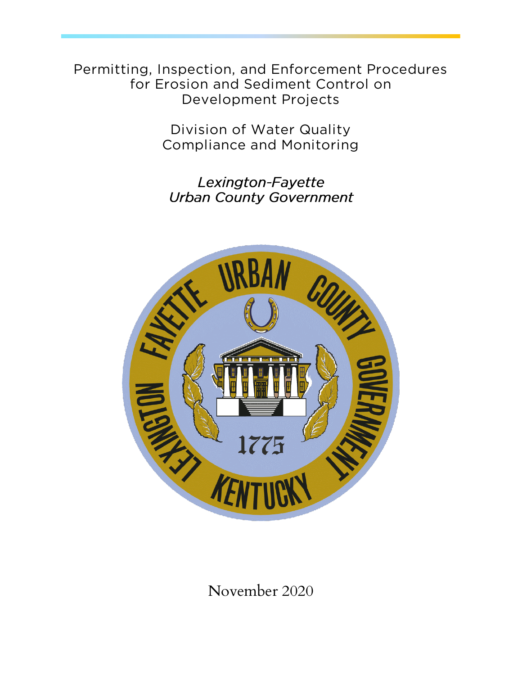**Permitting, Inspection, and Enforcement Procedures**  *<u>Development Projects</u>* **Development Projects**

> **Compliance and Monitoring Compliance and Monitoring**

Lexington-Fayette **Urban County Government** 



November 2020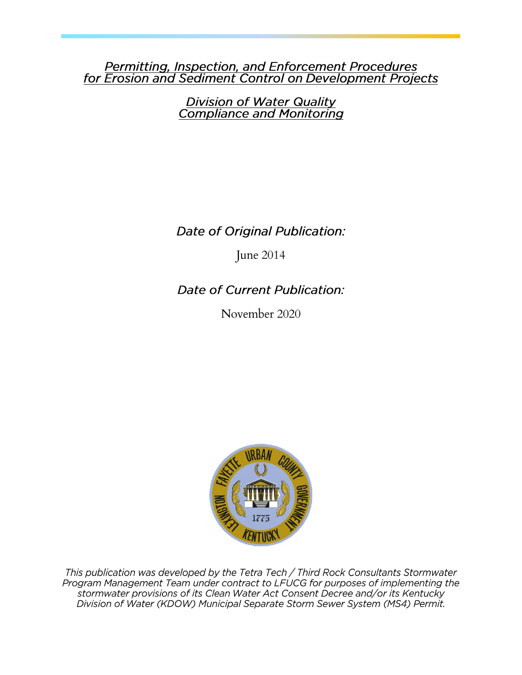# **Permitting, Inspection, and Enforcement Procedures**<br>for Erosion and Sediment Control on Development Projects

Division of Water Quality<br>Compliance and Monitoring

Date of Original Publication:

June 2014

Date of Current Publication:

November 2020



This publication was developed by the Tetra Tech / Third Rock Consultants Stormwater Program Management Team under contract to LFUCG for purposes of implementing the stormwater provisions of its Clean Water Act Consent Decree and/or its Kentucky Division of Water (KDOW) Municipal Separate Storm Sewer System (MS4) Permit.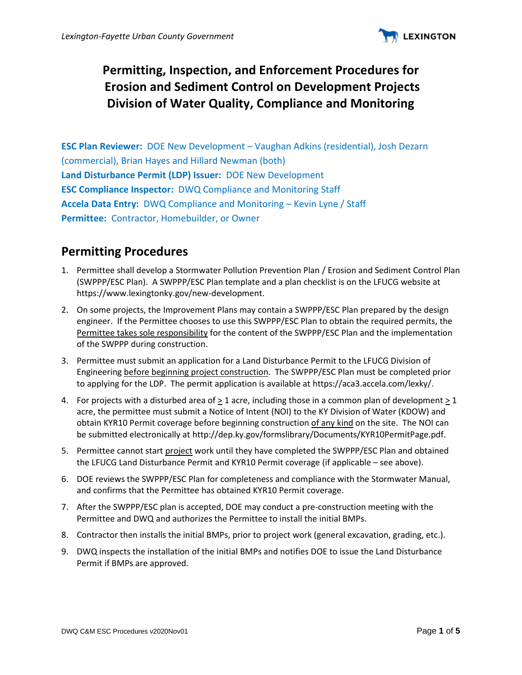

## **Permitting, Inspection, and Enforcement Procedures for Erosion and Sediment Control on Development Projects Division of Water Quality, Compliance and Monitoring**

**ESC Plan Reviewer:** DOE New Development – Vaughan Adkins (residential), Josh Dezarn (commercial), Brian Hayes and Hillard Newman (both) **Land Disturbance Permit (LDP) Issuer:** DOE New Development **ESC Compliance Inspector:** DWQ Compliance and Monitoring Staff **Accela Data Entry:** DWQ Compliance and Monitoring – Kevin Lyne / Staff **Permittee:** Contractor, Homebuilder, or Owner

## **Permitting Procedures**

- 1. Permittee shall develop a Stormwater Pollution Prevention Plan / Erosion and Sediment Control Plan (SWPPP/ESC Plan). A SWPPP/ESC Plan template and a plan checklist is on the LFUCG website at https://www.lexingtonky.gov/new-development.
- 2. On some projects, the Improvement Plans may contain a SWPPP/ESC Plan prepared by the design engineer. If the Permittee chooses to use this SWPPP/ESC Plan to obtain the required permits, the Permittee takes sole responsibility for the content of the SWPPP/ESC Plan and the implementation of the SWPPP during construction.
- 3. Permittee must submit an application for a Land Disturbance Permit to the LFUCG Division of Engineering before beginning project construction. The SWPPP/ESC Plan must be completed prior to applying for the LDP. The permit application is available at https://aca3.accela.com/lexky/.
- 4. For projects with a disturbed area of > 1 acre, including those in a common plan of development > 1 acre, the permittee must submit a Notice of Intent (NOI) to the KY Division of Water (KDOW) and obtain KYR10 Permit coverage before beginning construction of any kind on the site. The NOI can be submitted electronically at http://dep.ky.gov/formslibrary/Documents/KYR10PermitPage.pdf.
- 5. Permittee cannot start project work until they have completed the SWPPP/ESC Plan and obtained the LFUCG Land Disturbance Permit and KYR10 Permit coverage (if applicable – see above).
- 6. DOE reviews the SWPPP/ESC Plan for completeness and compliance with the Stormwater Manual, and confirms that the Permittee has obtained KYR10 Permit coverage.
- 7. After the SWPPP/ESC plan is accepted, DOE may conduct a pre-construction meeting with the Permittee and DWQ and authorizes the Permittee to install the initial BMPs.
- 8. Contractor then installs the initial BMPs, prior to project work (general excavation, grading, etc.).
- 9. DWQ inspects the installation of the initial BMPs and notifies DOE to issue the Land Disturbance Permit if BMPs are approved.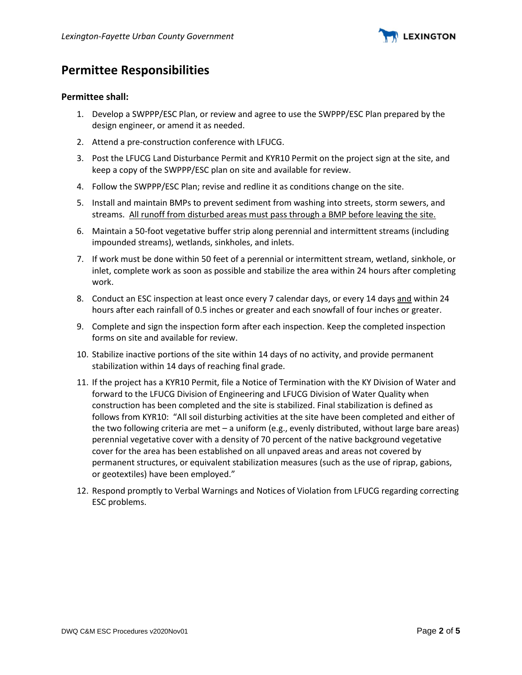

## **Permittee Responsibilities**

#### **Permittee shall:**

- 1. Develop a SWPPP/ESC Plan, or review and agree to use the SWPPP/ESC Plan prepared by the design engineer, or amend it as needed.
- 2. Attend a pre-construction conference with LFUCG.
- 3. Post the LFUCG Land Disturbance Permit and KYR10 Permit on the project sign at the site, and keep a copy of the SWPPP/ESC plan on site and available for review.
- 4. Follow the SWPPP/ESC Plan; revise and redline it as conditions change on the site.
- 5. Install and maintain BMPs to prevent sediment from washing into streets, storm sewers, and streams. All runoff from disturbed areas must pass through a BMP before leaving the site.
- 6. Maintain a 50-foot vegetative buffer strip along perennial and intermittent streams (including impounded streams), wetlands, sinkholes, and inlets.
- 7. If work must be done within 50 feet of a perennial or intermittent stream, wetland, sinkhole, or inlet, complete work as soon as possible and stabilize the area within 24 hours after completing work.
- 8. Conduct an ESC inspection at least once every 7 calendar days, or every 14 days and within 24 hours after each rainfall of 0.5 inches or greater and each snowfall of four inches or greater.
- 9. Complete and sign the inspection form after each inspection. Keep the completed inspection forms on site and available for review.
- 10. Stabilize inactive portions of the site within 14 days of no activity, and provide permanent stabilization within 14 days of reaching final grade.
- 11. If the project has a KYR10 Permit, file a Notice of Termination with the KY Division of Water and forward to the LFUCG Division of Engineering and LFUCG Division of Water Quality when construction has been completed and the site is stabilized. Final stabilization is defined as follows from KYR10: "All soil disturbing activities at the site have been completed and either of the two following criteria are met – a uniform (e.g., evenly distributed, without large bare areas) perennial vegetative cover with a density of 70 percent of the native background vegetative cover for the area has been established on all unpaved areas and areas not covered by permanent structures, or equivalent stabilization measures (such as the use of riprap, gabions, or geotextiles) have been employed."
- 12. Respond promptly to Verbal Warnings and Notices of Violation from LFUCG regarding correcting ESC problems.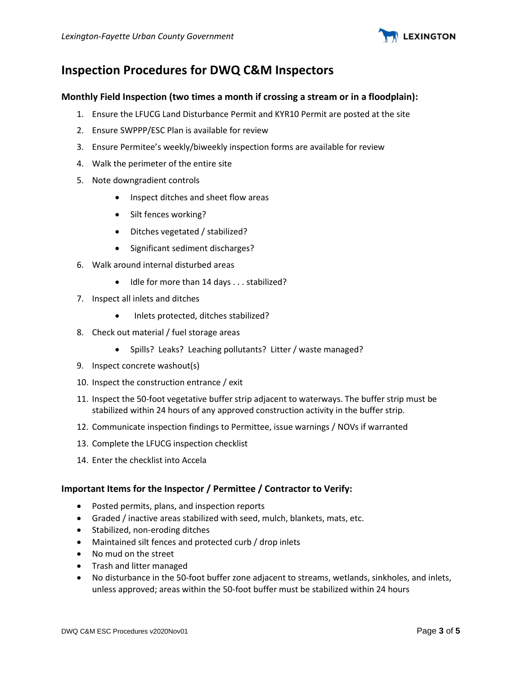

## **Inspection Procedures for DWQ C&M Inspectors**

#### **Monthly Field Inspection (two times a month if crossing a stream or in a floodplain):**

- 1. Ensure the LFUCG Land Disturbance Permit and KYR10 Permit are posted at the site
- 2. Ensure SWPPP/ESC Plan is available for review
- 3. Ensure Permitee's weekly/biweekly inspection forms are available for review
- 4. Walk the perimeter of the entire site
- 5. Note downgradient controls
	- Inspect ditches and sheet flow areas
	- Silt fences working?
	- Ditches vegetated / stabilized?
	- Significant sediment discharges?
- 6. Walk around internal disturbed areas
	- Idle for more than 14 days . . . stabilized?
- 7. Inspect all inlets and ditches
	- Inlets protected, ditches stabilized?
- 8. Check out material / fuel storage areas
	- Spills? Leaks? Leaching pollutants? Litter / waste managed?
- 9. Inspect concrete washout(s)
- 10. Inspect the construction entrance / exit
- 11. Inspect the 50-foot vegetative buffer strip adjacent to waterways. The buffer strip must be stabilized within 24 hours of any approved construction activity in the buffer strip.
- 12. Communicate inspection findings to Permittee, issue warnings / NOVs if warranted
- 13. Complete the LFUCG inspection checklist
- 14. Enter the checklist into Accela

#### **Important Items for the Inspector / Permittee / Contractor to Verify:**

- Posted permits, plans, and inspection reports
- Graded / inactive areas stabilized with seed, mulch, blankets, mats, etc.
- Stabilized, non-eroding ditches
- Maintained silt fences and protected curb / drop inlets
- No mud on the street
- Trash and litter managed
- No disturbance in the 50-foot buffer zone adjacent to streams, wetlands, sinkholes, and inlets, unless approved; areas within the 50-foot buffer must be stabilized within 24 hours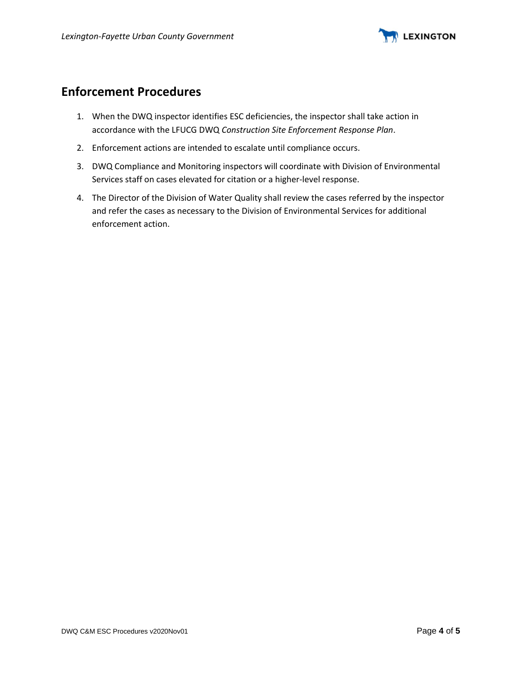

## **Enforcement Procedures**

- 1. When the DWQ inspector identifies ESC deficiencies, the inspector shall take action in accordance with the LFUCG DWQ *Construction Site Enforcement Response Plan*.
- 2. Enforcement actions are intended to escalate until compliance occurs.
- 3. DWQ Compliance and Monitoring inspectors will coordinate with Division of Environmental Services staff on cases elevated for citation or a higher-level response.
- 4. The Director of the Division of Water Quality shall review the cases referred by the inspector and refer the cases as necessary to the Division of Environmental Services for additional enforcement action.